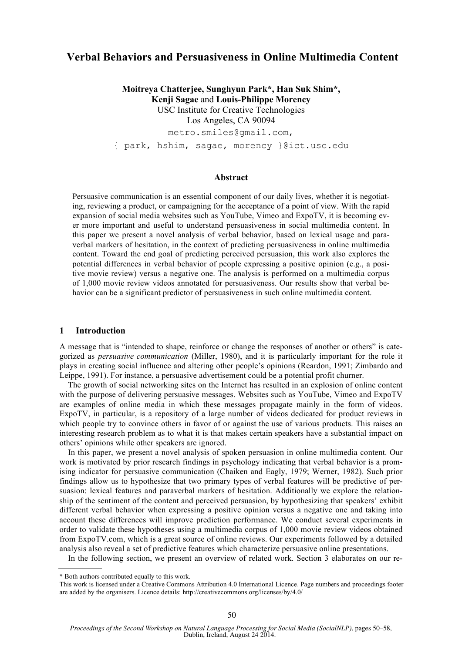# **Verbal Behaviors and Persuasiveness in Online Multimedia Content**

**Moitreya Chatterjee, Sunghyun Park\*, Han Suk Shim\*, Kenji Sagae** and **Louis-Philippe Morency** USC Institute for Creative Technologies Los Angeles, CA 90094 metro.smiles@gmail.com, { park, hshim, sagae, morency }@ict.usc.edu

### **Abstract**

Persuasive communication is an essential component of our daily lives, whether it is negotiating, reviewing a product, or campaigning for the acceptance of a point of view. With the rapid expansion of social media websites such as YouTube, Vimeo and ExpoTV, it is becoming ever more important and useful to understand persuasiveness in social multimedia content. In this paper we present a novel analysis of verbal behavior, based on lexical usage and paraverbal markers of hesitation, in the context of predicting persuasiveness in online multimedia content. Toward the end goal of predicting perceived persuasion, this work also explores the potential differences in verbal behavior of people expressing a positive opinion (e.g., a positive movie review) versus a negative one. The analysis is performed on a multimedia corpus of 1,000 movie review videos annotated for persuasiveness. Our results show that verbal behavior can be a significant predictor of persuasiveness in such online multimedia content.

#### **1 Introduction**

A message that is "intended to shape, reinforce or change the responses of another or others" is categorized as *persuasive communication* (Miller, 1980), and it is particularly important for the role it plays in creating social influence and altering other people's opinions (Reardon, 1991; Zimbardo and Leippe, 1991). For instance, a persuasive advertisement could be a potential profit churner.

The growth of social networking sites on the Internet has resulted in an explosion of online content with the purpose of delivering persuasive messages. Websites such as YouTube, Vimeo and ExpoTV are examples of online media in which these messages propagate mainly in the form of videos. ExpoTV, in particular, is a repository of a large number of videos dedicated for product reviews in which people try to convince others in favor of or against the use of various products. This raises an interesting research problem as to what it is that makes certain speakers have a substantial impact on others' opinions while other speakers are ignored.

In this paper, we present a novel analysis of spoken persuasion in online multimedia content. Our work is motivated by prior research findings in psychology indicating that verbal behavior is a promising indicator for persuasive communication (Chaiken and Eagly, 1979; Werner, 1982). Such prior findings allow us to hypothesize that two primary types of verbal features will be predictive of persuasion: lexical features and paraverbal markers of hesitation. Additionally we explore the relationship of the sentiment of the content and perceived persuasion, by hypothesizing that speakers' exhibit different verbal behavior when expressing a positive opinion versus a negative one and taking into account these differences will improve prediction performance. We conduct several experiments in order to validate these hypotheses using a multimedia corpus of 1,000 movie review videos obtained from ExpoTV.com, which is a great source of online reviews. Our experiments followed by a detailed analysis also reveal a set of predictive features which characterize persuasive online presentations.

In the following section, we present an overview of related work. Section 3 elaborates on our re-

<sup>\*</sup> Both authors contributed equally to this work.

This work is licensed under a Creative Commons Attribution 4.0 International Licence. Page numbers and proceedings footer are added by the organisers. Licence details: http://creativecommons.org/licenses/by/4.0/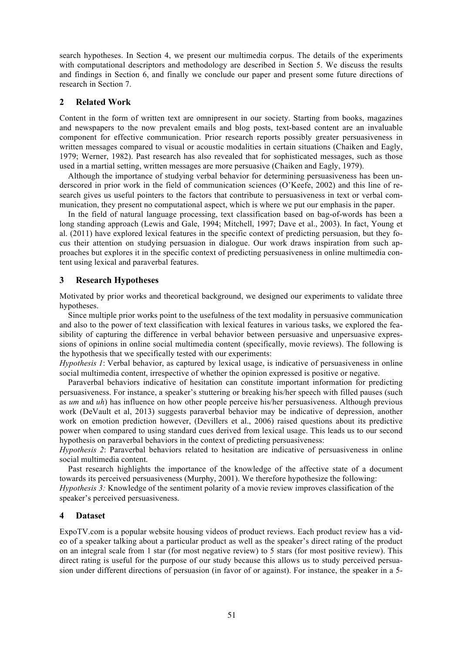search hypotheses. In Section 4, we present our multimedia corpus. The details of the experiments with computational descriptors and methodology are described in Section 5. We discuss the results and findings in Section 6, and finally we conclude our paper and present some future directions of research in Section 7.

### **2 Related Work**

Content in the form of written text are omnipresent in our society. Starting from books, magazines and newspapers to the now prevalent emails and blog posts, text-based content are an invaluable component for effective communication. Prior research reports possibly greater persuasiveness in written messages compared to visual or acoustic modalities in certain situations (Chaiken and Eagly, 1979; Werner, 1982). Past research has also revealed that for sophisticated messages, such as those used in a martial setting, written messages are more persuasive (Chaiken and Eagly, 1979).

Although the importance of studying verbal behavior for determining persuasiveness has been underscored in prior work in the field of communication sciences (O'Keefe, 2002) and this line of research gives us useful pointers to the factors that contribute to persuasiveness in text or verbal communication, they present no computational aspect, which is where we put our emphasis in the paper.

In the field of natural language processing, text classification based on bag-of-words has been a long standing approach (Lewis and Gale, 1994; Mitchell, 1997; Dave et al., 2003). In fact, Young et al. (2011) have explored lexical features in the specific context of predicting persuasion, but they focus their attention on studying persuasion in dialogue. Our work draws inspiration from such approaches but explores it in the specific context of predicting persuasiveness in online multimedia content using lexical and paraverbal features.

### **3 Research Hypotheses**

Motivated by prior works and theoretical background, we designed our experiments to validate three hypotheses.

Since multiple prior works point to the usefulness of the text modality in persuasive communication and also to the power of text classification with lexical features in various tasks, we explored the feasibility of capturing the difference in verbal behavior between persuasive and unpersuasive expressions of opinions in online social multimedia content (specifically, movie reviews). The following is the hypothesis that we specifically tested with our experiments:

*Hypothesis 1*: Verbal behavior, as captured by lexical usage, is indicative of persuasiveness in online social multimedia content, irrespective of whether the opinion expressed is positive or negative.

Paraverbal behaviors indicative of hesitation can constitute important information for predicting persuasiveness. For instance, a speaker's stuttering or breaking his/her speech with filled pauses (such as *um* and *uh*) has influence on how other people perceive his/her persuasiveness. Although previous work (DeVault et al, 2013) suggests paraverbal behavior may be indicative of depression, another work on emotion prediction however, (Devillers et al., 2006) raised questions about its predictive power when compared to using standard cues derived from lexical usage. This leads us to our second hypothesis on paraverbal behaviors in the context of predicting persuasiveness:

*Hypothesis 2*: Paraverbal behaviors related to hesitation are indicative of persuasiveness in online social multimedia content.

Past research highlights the importance of the knowledge of the affective state of a document towards its perceived persuasiveness (Murphy, 2001). We therefore hypothesize the following: *Hypothesis 3:* Knowledge of the sentiment polarity of a movie review improves classification of the speaker's perceived persuasiveness.

### **4 Dataset**

ExpoTV.com is a popular website housing videos of product reviews. Each product review has a video of a speaker talking about a particular product as well as the speaker's direct rating of the product on an integral scale from 1 star (for most negative review) to 5 stars (for most positive review). This direct rating is useful for the purpose of our study because this allows us to study perceived persuasion under different directions of persuasion (in favor of or against). For instance, the speaker in a 5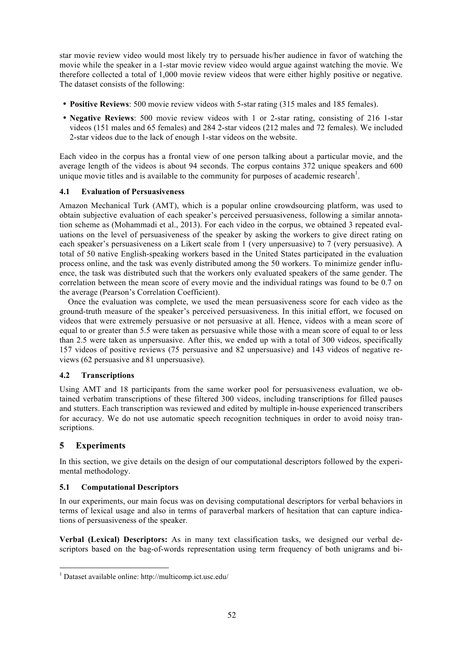star movie review video would most likely try to persuade his/her audience in favor of watching the movie while the speaker in a 1-star movie review video would argue against watching the movie. We therefore collected a total of 1,000 movie review videos that were either highly positive or negative. The dataset consists of the following:

- **Positive Reviews**: 500 movie review videos with 5-star rating (315 males and 185 females).
- **Negative Reviews**: 500 movie review videos with 1 or 2-star rating, consisting of 216 1-star videos (151 males and 65 females) and 284 2-star videos (212 males and 72 females). We included 2-star videos due to the lack of enough 1-star videos on the website.

Each video in the corpus has a frontal view of one person talking about a particular movie, and the average length of the videos is about 94 seconds. The corpus contains 372 unique speakers and 600 unique movie titles and is available to the community for purposes of academic research<sup>1</sup>.

### **4.1 Evaluation of Persuasiveness**

Amazon Mechanical Turk (AMT), which is a popular online crowdsourcing platform, was used to obtain subjective evaluation of each speaker's perceived persuasiveness, following a similar annotation scheme as (Mohammadi et al., 2013). For each video in the corpus, we obtained 3 repeated evaluations on the level of persuasiveness of the speaker by asking the workers to give direct rating on each speaker's persuasiveness on a Likert scale from 1 (very unpersuasive) to 7 (very persuasive). A total of 50 native English-speaking workers based in the United States participated in the evaluation process online, and the task was evenly distributed among the 50 workers. To minimize gender influence, the task was distributed such that the workers only evaluated speakers of the same gender. The correlation between the mean score of every movie and the individual ratings was found to be 0.7 on the average (Pearson's Correlation Coefficient).

Once the evaluation was complete, we used the mean persuasiveness score for each video as the ground-truth measure of the speaker's perceived persuasiveness. In this initial effort, we focused on videos that were extremely persuasive or not persuasive at all. Hence, videos with a mean score of equal to or greater than 5.5 were taken as persuasive while those with a mean score of equal to or less than 2.5 were taken as unpersuasive. After this, we ended up with a total of 300 videos, specifically 157 videos of positive reviews (75 persuasive and 82 unpersuasive) and 143 videos of negative reviews (62 persuasive and 81 unpersuasive).

### **4.2 Transcriptions**

Using AMT and 18 participants from the same worker pool for persuasiveness evaluation, we obtained verbatim transcriptions of these filtered 300 videos, including transcriptions for filled pauses and stutters. Each transcription was reviewed and edited by multiple in-house experienced transcribers for accuracy. We do not use automatic speech recognition techniques in order to avoid noisy transcriptions.

## **5 Experiments**

In this section, we give details on the design of our computational descriptors followed by the experimental methodology.

### **5.1 Computational Descriptors**

In our experiments, our main focus was on devising computational descriptors for verbal behaviors in terms of lexical usage and also in terms of paraverbal markers of hesitation that can capture indications of persuasiveness of the speaker.

**Verbal (Lexical) Descriptors:** As in many text classification tasks, we designed our verbal descriptors based on the bag-of-words representation using term frequency of both unigrams and bi-

<sup>1</sup> Dataset available online: http://multicomp.ict.usc.edu/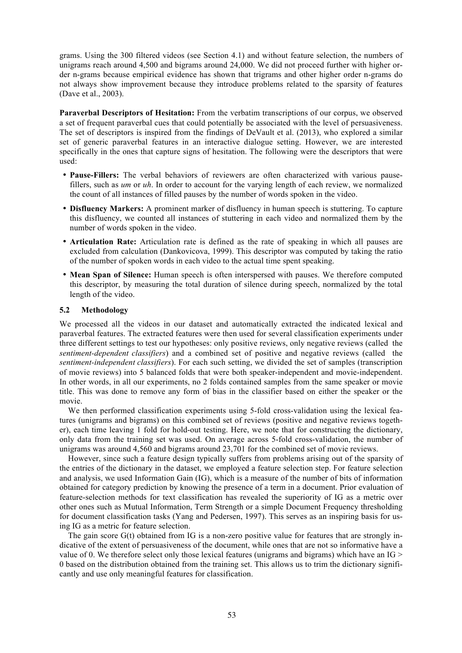grams. Using the 300 filtered videos (see Section 4.1) and without feature selection, the numbers of unigrams reach around 4,500 and bigrams around 24,000. We did not proceed further with higher order n-grams because empirical evidence has shown that trigrams and other higher order n-grams do not always show improvement because they introduce problems related to the sparsity of features (Dave et al., 2003).

**Paraverbal Descriptors of Hesitation:** From the verbatim transcriptions of our corpus, we observed a set of frequent paraverbal cues that could potentially be associated with the level of persuasiveness. The set of descriptors is inspired from the findings of DeVault et al. (2013), who explored a similar set of generic paraverbal features in an interactive dialogue setting. However, we are interested specifically in the ones that capture signs of hesitation. The following were the descriptors that were used:

- **Pause-Fillers:** The verbal behaviors of reviewers are often characterized with various pausefillers, such as *um* or *uh*. In order to account for the varying length of each review, we normalized the count of all instances of filled pauses by the number of words spoken in the video.
- **Disfluency Markers:** A prominent marker of disfluency in human speech is stuttering. To capture this disfluency, we counted all instances of stuttering in each video and normalized them by the number of words spoken in the video.
- **Articulation Rate:** Articulation rate is defined as the rate of speaking in which all pauses are excluded from calculation (Dankovicova, 1999). This descriptor was computed by taking the ratio of the number of spoken words in each video to the actual time spent speaking.
- **Mean Span of Silence:** Human speech is often interspersed with pauses. We therefore computed this descriptor, by measuring the total duration of silence during speech, normalized by the total length of the video.

### **5.2 Methodology**

We processed all the videos in our dataset and automatically extracted the indicated lexical and paraverbal features. The extracted features were then used for several classification experiments under three different settings to test our hypotheses: only positive reviews, only negative reviews (called the *sentiment-dependent classifiers*) and a combined set of positive and negative reviews (called the *sentiment-independent classifiers*). For each such setting, we divided the set of samples (transcription of movie reviews) into 5 balanced folds that were both speaker-independent and movie-independent. In other words, in all our experiments, no 2 folds contained samples from the same speaker or movie title. This was done to remove any form of bias in the classifier based on either the speaker or the movie.

We then performed classification experiments using 5-fold cross-validation using the lexical features (unigrams and bigrams) on this combined set of reviews (positive and negative reviews together), each time leaving 1 fold for hold-out testing. Here, we note that for constructing the dictionary, only data from the training set was used. On average across 5-fold cross-validation, the number of unigrams was around 4,560 and bigrams around 23,701 for the combined set of movie reviews.

However, since such a feature design typically suffers from problems arising out of the sparsity of the entries of the dictionary in the dataset, we employed a feature selection step. For feature selection and analysis, we used Information Gain (IG), which is a measure of the number of bits of information obtained for category prediction by knowing the presence of a term in a document. Prior evaluation of feature-selection methods for text classification has revealed the superiority of IG as a metric over other ones such as Mutual Information, Term Strength or a simple Document Frequency thresholding for document classification tasks (Yang and Pedersen, 1997). This serves as an inspiring basis for using IG as a metric for feature selection.

The gain score  $G(t)$  obtained from IG is a non-zero positive value for features that are strongly indicative of the extent of persuasiveness of the document, while ones that are not so informative have a value of 0. We therefore select only those lexical features (unigrams and bigrams) which have an IG > 0 based on the distribution obtained from the training set. This allows us to trim the dictionary significantly and use only meaningful features for classification.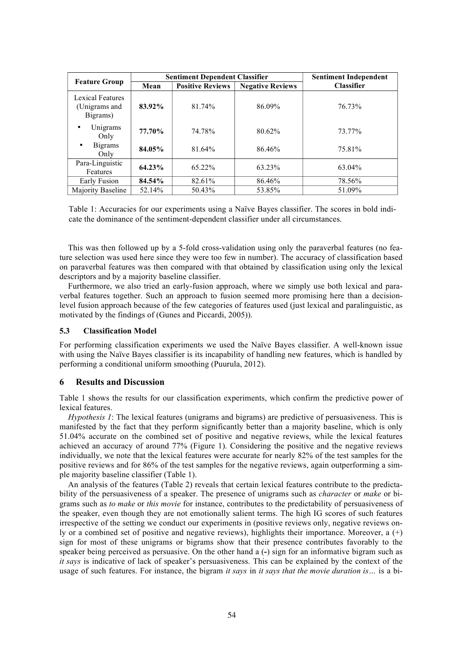|                                               |        | <b>Sentiment Dependent Classifier</b> | <b>Sentiment Independent</b> |                   |
|-----------------------------------------------|--------|---------------------------------------|------------------------------|-------------------|
| <b>Feature Group</b>                          | Mean   | <b>Positive Reviews</b>               | <b>Negative Reviews</b>      | <b>Classifier</b> |
| Lexical Features<br>(Unigrams and<br>Bigrams) | 83.92% | 81.74%                                | 86.09%                       | 76.73%            |
| Unigrams<br>Only                              | 77.70% | 74.78%                                | 80.62%                       | 73.77%            |
| <b>Bigrams</b><br>٠<br>Only                   | 84.05% | 81.64%                                | 86.46%                       | 75.81%            |
| Para-Linguistic<br>Features                   | 64.23% | $65.22\%$                             | 63.23%                       | 63.04%            |
| Early Fusion                                  | 84.54% | 82.61%                                | 86.46%                       | 78.56%            |
| Majority Baseline                             | 52.14% | 50.43%                                | 53.85%                       | 51.09%            |

Table 1: Accuracies for our experiments using a Naïve Bayes classifier. The scores in bold indicate the dominance of the sentiment-dependent classifier under all circumstances.

This was then followed up by a 5-fold cross-validation using only the paraverbal features (no feature selection was used here since they were too few in number). The accuracy of classification based on paraverbal features was then compared with that obtained by classification using only the lexical descriptors and by a majority baseline classifier.

Furthermore, we also tried an early-fusion approach, where we simply use both lexical and paraverbal features together. Such an approach to fusion seemed more promising here than a decisionlevel fusion approach because of the few categories of features used (just lexical and paralinguistic, as motivated by the findings of (Gunes and Piccardi, 2005)).

### **5.3 Classification Model**

For performing classification experiments we used the Naïve Bayes classifier. A well-known issue with using the Naïve Bayes classifier is its incapability of handling new features, which is handled by performing a conditional uniform smoothing (Puurula, 2012).

### **6 Results and Discussion**

Table 1 shows the results for our classification experiments, which confirm the predictive power of lexical features.

*Hypothesis 1*: The lexical features (unigrams and bigrams) are predictive of persuasiveness. This is manifested by the fact that they perform significantly better than a majority baseline, which is only 51.04% accurate on the combined set of positive and negative reviews, while the lexical features achieved an accuracy of around 77% (Figure 1). Considering the positive and the negative reviews individually, we note that the lexical features were accurate for nearly 82% of the test samples for the positive reviews and for 86% of the test samples for the negative reviews, again outperforming a simple majority baseline classifier (Table 1).

An analysis of the features (Table 2) reveals that certain lexical features contribute to the predictability of the persuasiveness of a speaker. The presence of unigrams such as *character* or *make* or bigrams such as *to make* or *this movie* for instance, contributes to the predictability of persuasiveness of the speaker, even though they are not emotionally salient terms. The high IG scores of such features irrespective of the setting we conduct our experiments in (positive reviews only, negative reviews only or a combined set of positive and negative reviews), highlights their importance. Moreover, a (+) sign for most of these unigrams or bigrams show that their presence contributes favorably to the speaker being perceived as persuasive. On the other hand a (**-**) sign for an informative bigram such as *it says* is indicative of lack of speaker's persuasiveness. This can be explained by the context of the usage of such features. For instance, the bigram *it says* in *it says that the movie duration is…* is a bi-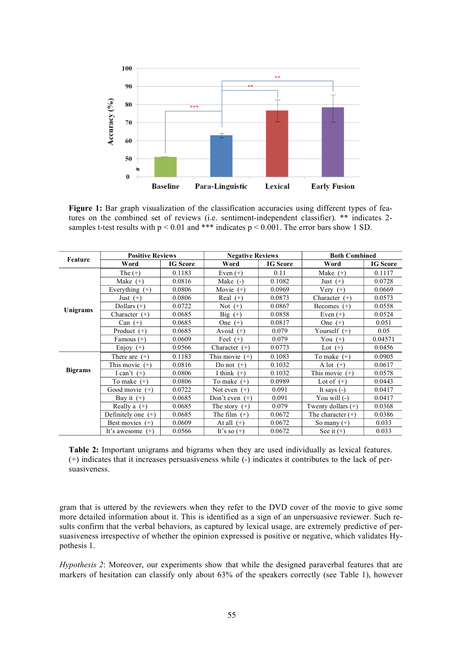

Figure 1: Bar graph visualization of the classification accuracies using different types of features on the combined set of reviews (i.e. sentiment-independent classifier). \*\* indicates 2 samples t-test results with  $p < 0.01$  and \*\*\* indicates  $p < 0.001$ . The error bars show 1 SD.

| Feature        | <b>Positive Reviews</b>  |                 | <b>Negative Reviews</b> |                 | <b>Both Combined</b>   |                 |
|----------------|--------------------------|-----------------|-------------------------|-----------------|------------------------|-----------------|
|                | Word                     | <b>IG</b> Score | Word                    | <b>IG</b> Score | Word                   | <b>IG</b> Score |
| Unigrams       | The $(+)$                | 0.1183          | Even $(+)$              | 0.11            | Make $(+)$             | 0.1117          |
|                | Make $(+)$               | 0.0816          | Make $(-)$              | 0.1082          | Just $(+)$             | 0.0728          |
|                | Everything $(+)$         | 0.0806          | Movie<br>$(+)$          | 0.0969          | Very $(+)$             | 0.0669          |
|                | Just $(+)$               | 0.0806          | Real $(+)$              | 0.0873          | Character $(+)$        | 0.0573          |
|                | Dollars $(+)$            | 0.0722          | Not $(+)$               | 0.0867          | Becomes $(+)$          | 0.0558          |
|                | Character $(+)$          | 0.0685          | Big $(+)$               | 0.0858          | Even $(+)$             | 0.0524          |
|                | Can $(+)$                | 0.0685          | One $(+)$               | 0.0817          | One $(+)$              | 0.051           |
|                | Product $(+)$            | 0.0685          | Avoid $(+)$             | 0.079           | Yourself $(+)$         | 0.05            |
|                | Famous $(+)$             | 0.0609          | Feel $(+)$              | 0.079           | You $(+)$              | 0.04571         |
|                | Enjoy $(+)$              | 0.0566          | Character $(+)$         | 0.0773          | Lot $(+)$              | 0.0456          |
| <b>Bigrams</b> | There are $(+)$          | 0.1183          | This movie $(+)$        | 0.1083          | To make $(+)$          | 0.0905          |
|                | This movie $(+)$         | 0.0816          | Do not $(+)$            | 0.1032          | A lot $(+)$            | 0.0617          |
|                | I can't $(+)$            | 0.0806          | I think $(+)$           | 0.1032          | This movie<br>$^{(+)}$ | 0.0578          |
|                | To make $(+)$            | 0.0806          | To make $(+)$           | 0.0989          | Lot of $(+)$           | 0.0443          |
|                | Good movie $(+)$         | 0.0722          | Not even $(+)$          | 0.091           | It says $(-)$          | 0.0417          |
|                | Buy it $(+)$             | 0.0685          | Don't even $(+)$        | 0.091           | You will (-)           | 0.0417          |
|                | Really a $(+)$           | 0.0685          | The story $(+)$         | 0.079           | Twenty dollars $(+)$   | 0.0368          |
|                | Definitely one $(+)$     | 0.0685          | The film $(+)$          | 0.0672          | The character $(+)$    | 0.0386          |
|                | Best movies $(+)$        | 0.0609          | At all $(+)$            | 0.0672          | So many $(+)$          | 0.033           |
|                | It's awesome<br>$^{(+)}$ | 0.0566          | It's so $(+)$           | 0.0672          | See it $(+)$           | 0.033           |

**Table 2:** Important unigrams and bigrams when they are used individually as lexical features. (+) indicates that it increases persuasiveness while (-) indicates it contributes to the lack of persuasiveness.

gram that is uttered by the reviewers when they refer to the DVD cover of the movie to give some more detailed information about it. This is identified as a sign of an unpersuasive reviewer. Such results confirm that the verbal behaviors, as captured by lexical usage, are extremely predictive of persuasiveness irrespective of whether the opinion expressed is positive or negative, which validates Hypothesis 1.

*Hypothesis 2*: Moreover, our experiments show that while the designed paraverbal features that are markers of hesitation can classify only about 63% of the speakers correctly (see Table 1), however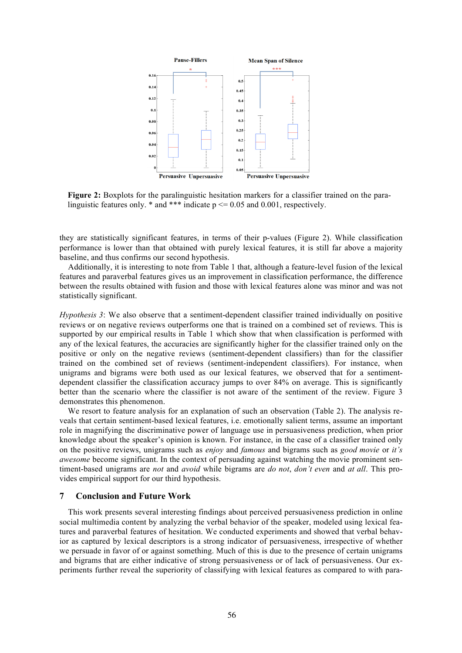

**Figure 2:** Boxplots for the paralinguistic hesitation markers for a classifier trained on the paralinguistic features only.  $*$  and  $***$  indicate  $p \le 0.05$  and 0.001, respectively.

they are statistically significant features, in terms of their p-values (Figure 2). While classification performance is lower than that obtained with purely lexical features, it is still far above a majority baseline, and thus confirms our second hypothesis.

Additionally, it is interesting to note from Table 1 that, although a feature-level fusion of the lexical features and paraverbal features gives us an improvement in classification performance, the difference between the results obtained with fusion and those with lexical features alone was minor and was not statistically significant.

*Hypothesis 3*: We also observe that a sentiment-dependent classifier trained individually on positive reviews or on negative reviews outperforms one that is trained on a combined set of reviews. This is supported by our empirical results in Table 1 which show that when classification is performed with any of the lexical features, the accuracies are significantly higher for the classifier trained only on the positive or only on the negative reviews (sentiment-dependent classifiers) than for the classifier trained on the combined set of reviews (sentiment-independent classifiers). For instance, when unigrams and bigrams were both used as our lexical features, we observed that for a sentimentdependent classifier the classification accuracy jumps to over 84% on average. This is significantly better than the scenario where the classifier is not aware of the sentiment of the review. Figure 3 demonstrates this phenomenon.

We resort to feature analysis for an explanation of such an observation (Table 2). The analysis reveals that certain sentiment-based lexical features, i.e. emotionally salient terms, assume an important role in magnifying the discriminative power of language use in persuasiveness prediction, when prior knowledge about the speaker's opinion is known. For instance, in the case of a classifier trained only on the positive reviews, unigrams such as *enjoy* and *famous* and bigrams such as *good movie* or *it's awesome* become significant. In the context of persuading against watching the movie prominent sentiment-based unigrams are *not* and *avoid* while bigrams are *do not*, *don't even* and *at all*. This provides empirical support for our third hypothesis.

### **7 Conclusion and Future Work**

This work presents several interesting findings about perceived persuasiveness prediction in online social multimedia content by analyzing the verbal behavior of the speaker, modeled using lexical features and paraverbal features of hesitation. We conducted experiments and showed that verbal behavior as captured by lexical descriptors is a strong indicator of persuasiveness, irrespective of whether we persuade in favor of or against something. Much of this is due to the presence of certain unigrams and bigrams that are either indicative of strong persuasiveness or of lack of persuasiveness. Our experiments further reveal the superiority of classifying with lexical features as compared to with para-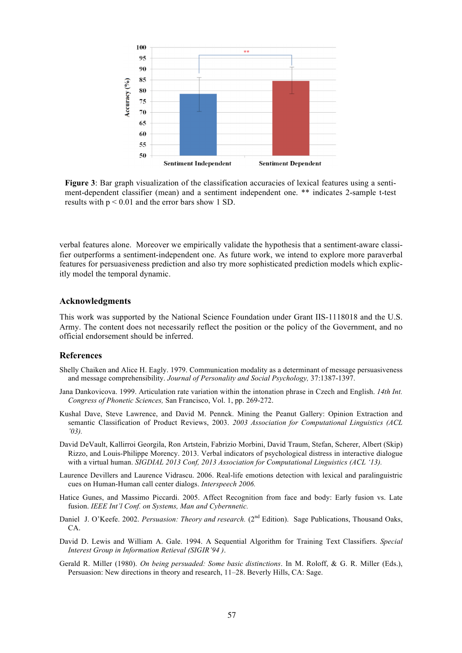

**Figure 3**: Bar graph visualization of the classification accuracies of lexical features using a sentiment-dependent classifier (mean) and a sentiment independent one. \*\* indicates 2-sample t-test results with  $p \le 0.01$  and the error bars show 1 SD.

verbal features alone. Moreover we empirically validate the hypothesis that a sentiment-aware classifier outperforms a sentiment-independent one. As future work, we intend to explore more paraverbal features for persuasiveness prediction and also try more sophisticated prediction models which explicitly model the temporal dynamic.

### **Acknowledgments**

This work was supported by the National Science Foundation under Grant IIS-1118018 and the U.S. Army. The content does not necessarily reflect the position or the policy of the Government, and no official endorsement should be inferred.

### **References**

- Shelly Chaiken and Alice H. Eagly. 1979. Communication modality as a determinant of message persuasiveness and message comprehensibility. *Journal of Personality and Social Psychology,* 37:1387-1397.
- Jana Dankovicova. 1999. Articulation rate variation within the intonation phrase in Czech and English. *14th Int. Congress of Phonetic Sciences,* San Francisco, Vol. 1, pp. 269-272.
- Kushal Dave, Steve Lawrence, and David M. Pennck. Mining the Peanut Gallery: Opinion Extraction and semantic Classification of Product Reviews, 2003. *2003 Association for Computational Linguistics (ACL '03).*
- David DeVault, Kallirroi Georgila, Ron Artstein, Fabrizio Morbini, David Traum, Stefan, Scherer, Albert (Skip) Rizzo, and Louis-Philippe Morency. 2013. Verbal indicators of psychological distress in interactive dialogue with a virtual human. *SIGDIAL 2013 Conf, 2013 Association for Computational Linguistics (ACL '13).*
- Laurence Devillers and Laurence Vidrascu. 2006. Real-life emotions detection with lexical and paralinguistric cues on Human-Human call center dialogs. *Interspeech 2006.*
- Hatice Gunes, and Massimo Piccardi. 2005. Affect Recognition from face and body: Early fusion vs. Late fusion. *IEEE Int'l Conf. on Systems, Man and Cybernnetic.*
- Daniel J. O'Keefe. 2002. *Persuasion: Theory and research.* (2<sup>nd</sup> Edition). Sage Publications, Thousand Oaks, CA.
- David D. Lewis and William A. Gale. 1994. A Sequential Algorithm for Training Text Classifiers. *Special Interest Group in Information Retieval (SIGIR'94 )*.
- Gerald R. Miller (1980). *On being persuaded: Some basic distinctions*. In M. Roloff, & G. R. Miller (Eds.), Persuasion: New directions in theory and research, 11–28. Beverly Hills, CA: Sage.